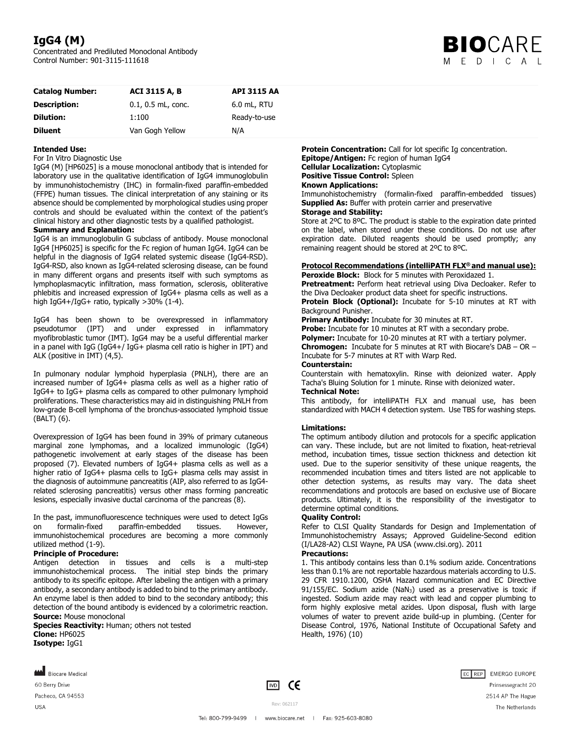# **IgG4 (M)**

Concentrated and Prediluted Monoclonal Antibody Control Number: 901-3115-111618



| <b>Catalog Number:</b> | <b>ACI 3115 A. B.</b> | <b>API 3115 AA</b> |
|------------------------|-----------------------|--------------------|
| <b>Description:</b>    | $0.1, 0.5$ mL, conc.  | 6.0 mL, RTU        |
| <b>Dilution:</b>       | 1:100                 | Ready-to-use       |
| <b>Diluent</b>         | Van Gogh Yellow       | N/A                |

# **Intended Use:**

## For In Vitro Diagnostic Use

IgG4 (M) [HP6025] is a mouse monoclonal antibody that is intended for laboratory use in the qualitative identification of IgG4 immunoglobulin by immunohistochemistry (IHC) in formalin-fixed paraffin-embedded (FFPE) human tissues. The clinical interpretation of any staining or its absence should be complemented by morphological studies using proper controls and should be evaluated within the context of the patient's clinical history and other diagnostic tests by a qualified pathologist. **Summary and Explanation:** 

IgG4 is an immunoglobulin G subclass of antibody. Mouse monoclonal IgG4 [HP6025] is specific for the Fc region of human IgG4. IgG4 can be helpful in the diagnosis of IgG4 related systemic disease (IgG4-RSD). IgG4-RSD, also known as IgG4-related sclerosing disease, can be found in many different organs and presents itself with such symptoms as lymphoplasmacytic infiltration, mass formation, sclerosis, obliterative phlebitis and increased expression of IgG4+ plasma cells as well as a high IgG4+/IgG+ ratio, typically >30% (1-4).

IgG4 has been shown to be overexpressed in inflammatory pseudotumor (IPT) and under expressed in inflammatory myofibroblastic tumor (IMT). IgG4 may be a useful differential marker in a panel with IgG (IgG4+/ IgG+ plasma cell ratio is higher in IPT) and ALK (positive in IMT) (4,5).

In pulmonary nodular lymphoid hyperplasia (PNLH), there are an increased number of IgG4+ plasma cells as well as a higher ratio of IgG4+ to IgG+ plasma cells as compared to other pulmonary lymphoid proliferations. These characteristics may aid in distinguishing PNLH from low-grade B-cell lymphoma of the bronchus-associated lymphoid tissue (BALT) (6).

Overexpression of IgG4 has been found in 39% of primary cutaneous marginal zone lymphomas, and a localized immunologic (IgG4) pathogenetic involvement at early stages of the disease has been proposed (7). Elevated numbers of IgG4+ plasma cells as well as a higher ratio of IgG4+ plasma cells to IgG+ plasma cells may assist in the diagnosis of autoimmune pancreatitis (AIP, also referred to as IgG4 related sclerosing pancreatitis) versus other mass forming pancreatic lesions, especially invasive ductal carcinoma of the pancreas (8).

In the past, immunofluorescence techniques were used to detect IgGs<br>on formalin-fixed paraffin-embedded tissues. However. on formalin-fixed paraffin-embedded immunohistochemical procedures are becoming a more commonly utilized method (1-9).

## **Principle of Procedure:**

Antigen detection in tissues and cells is a multi-step immunohistochemical process. The initial step binds the primary antibody to its specific epitope. After labeling the antigen with a primary antibody, a secondary antibody is added to bind to the primary antibody. An enzyme label is then added to bind to the secondary antibody; this detection of the bound antibody is evidenced by a colorimetric reaction. **Source:** Mouse monoclonal

**Species Reactivity:** Human; others not tested **Clone:** HP6025 **Isotype:** IgG1

**Protein Concentration:** Call for lot specific Ig concentration. **Epitope/Antigen:** Fc region of human IgG4 **Cellular Localization:** Cytoplasmic **Positive Tissue Control:** Spleen **Known Applications:** 

Immunohistochemistry (formalin-fixed paraffin-embedded tissues) **Supplied As:** Buffer with protein carrier and preservative

# **Storage and Stability:**

Store at 2ºC to 8ºC. The product is stable to the expiration date printed on the label, when stored under these conditions. Do not use after expiration date. Diluted reagents should be used promptly; any remaining reagent should be stored at 2ºC to 8ºC.

# **Protocol Recommendations (intelliPATH FLX® and manual use):**

**Peroxide Block:** Block for 5 minutes with Peroxidazed 1. Pretreatment: Perform heat retrieval using Diva Decloaker. Refer to the Diva Decloaker product data sheet for specific instructions. **Protein Block (Optional):** Incubate for 5-10 minutes at RT with Background Punisher.

#### **Primary Antibody:** Incubate for 30 minutes at RT.

**Probe:** Incubate for 10 minutes at RT with a secondary probe.

**Polymer:** Incubate for 10-20 minutes at RT with a tertiary polymer.

**Chromogen:** Incubate for 5 minutes at RT with Biocare's DAB – OR – Incubate for 5-7 minutes at RT with Warp Red.

#### **Counterstain:**

Counterstain with hematoxylin. Rinse with deionized water. Apply Tacha's Bluing Solution for 1 minute. Rinse with deionized water. **Technical Note:** 

This antibody, for intelliPATH FLX and manual use, has been standardized with MACH 4 detection system. Use TBS for washing steps.

## **Limitations:**

The optimum antibody dilution and protocols for a specific application can vary. These include, but are not limited to fixation, heat-retrieval method, incubation times, tissue section thickness and detection kit used. Due to the superior sensitivity of these unique reagents, the recommended incubation times and titers listed are not applicable to other detection systems, as results may vary. The data sheet recommendations and protocols are based on exclusive use of Biocare products. Ultimately, it is the responsibility of the investigator to determine optimal conditions.

## **Quality Control:**

Refer to CLSI Quality Standards for Design and Implementation of Immunohistochemistry Assays; Approved Guideline-Second edition (I/LA28-A2) CLSI Wayne, PA USA (www.clsi.org). 2011

# **Precautions:**

1. This antibody contains less than 0.1% sodium azide. Concentrations less than 0.1% are not reportable hazardous materials according to U.S. 29 CFR 1910.1200, OSHA Hazard communication and EC Directive 91/155/EC. Sodium azide (NaN<sub>3</sub>) used as a preservative is toxic if ingested. Sodium azide may react with lead and copper plumbing to form highly explosive metal azides. Upon disposal, flush with large volumes of water to prevent azide build-up in plumbing. (Center for Disease Control, 1976, National Institute of Occupational Safety and Health, 1976) (10)

Biocare Medical 60 Berry Drive Pacheco, CA 94553 **USA**